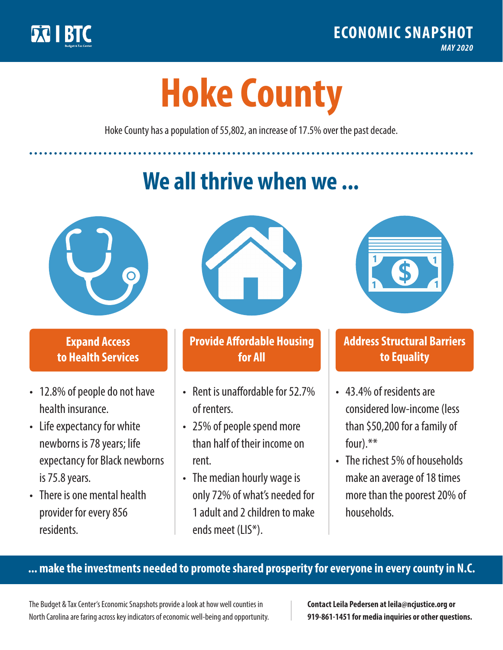

**1**

# **Hoke County**

Hoke County has a population of 55,802, an increase of 17.5% over the past decade.

# **We all thrive when we ...**



**\$ <sup>1</sup>**

**\$ <sup>1</sup>**

#### **Expand Access to Health Services**

- 12.8% of people do not have health insurance.
- Life expectancy for white newborns is 78years; life expectancy for Black newborns is 75.8years.
- There is one mental health provider for every 856 residents.



## **Provide Affordable Housing for All**

- Rent is unaffordable for 52.7% of renters.
- 25% of people spend more than half of their income on rent.
- The median hourly wage is only 72% of what's needed for 1 adult and 2 children to make ends meet (LIS\*).



## **Address Structural Barriers to Equality**

- 43.4% of residents are considered low-income (less than \$50,200 for a family of four).\*\*
- The richest 5% of households make an average of 18 times more than the poorest 20% of households.

#### **... make the investments needed to promote shared prosperity for everyone in every county in N.C.**

The Budget & Tax Center's Economic Snapshots provide a look at how well counties in North Carolina are faring across key indicators of economic well-being and opportunity.